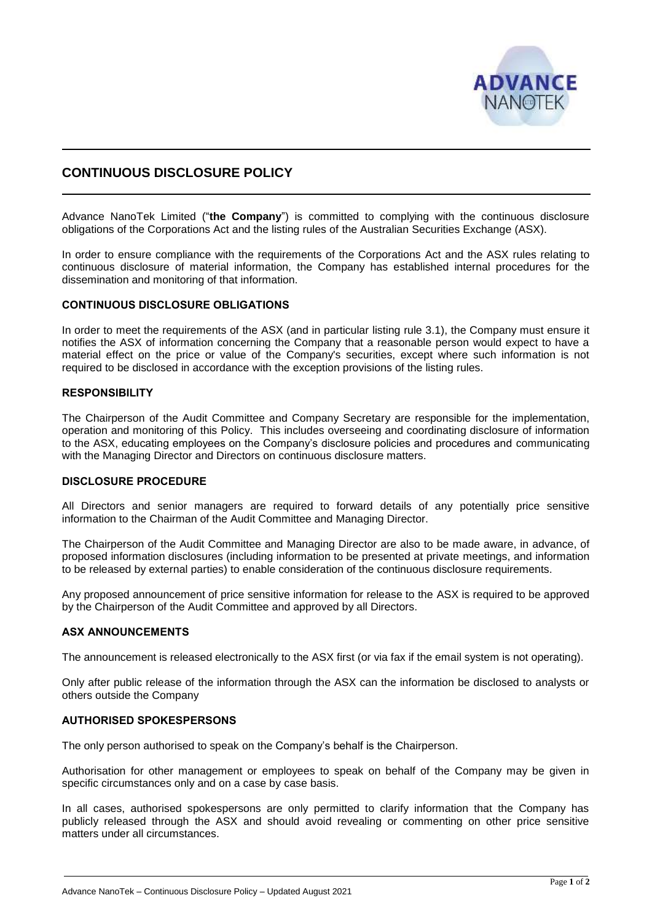

# **CONTINUOUS DISCLOSURE POLICY**

Advance NanoTek Limited ("**the Company**") is committed to complying with the continuous disclosure obligations of the Corporations Act and the listing rules of the Australian Securities Exchange (ASX).

In order to ensure compliance with the requirements of the Corporations Act and the ASX rules relating to continuous disclosure of material information, the Company has established internal procedures for the dissemination and monitoring of that information.

# **CONTINUOUS DISCLOSURE OBLIGATIONS**

In order to meet the requirements of the ASX (and in particular listing rule 3.1), the Company must ensure it notifies the ASX of information concerning the Company that a reasonable person would expect to have a material effect on the price or value of the Company's securities, except where such information is not required to be disclosed in accordance with the exception provisions of the listing rules.

# **RESPONSIBILITY**

The Chairperson of the Audit Committee and Company Secretary are responsible for the implementation, operation and monitoring of this Policy. This includes overseeing and coordinating disclosure of information to the ASX, educating employees on the Company's disclosure policies and procedures and communicating with the Managing Director and Directors on continuous disclosure matters.

#### **DISCLOSURE PROCEDURE**

All Directors and senior managers are required to forward details of any potentially price sensitive information to the Chairman of the Audit Committee and Managing Director.

The Chairperson of the Audit Committee and Managing Director are also to be made aware, in advance, of proposed information disclosures (including information to be presented at private meetings, and information to be released by external parties) to enable consideration of the continuous disclosure requirements.

Any proposed announcement of price sensitive information for release to the ASX is required to be approved by the Chairperson of the Audit Committee and approved by all Directors.

# **ASX ANNOUNCEMENTS**

The announcement is released electronically to the ASX first (or via fax if the email system is not operating).

Only after public release of the information through the ASX can the information be disclosed to analysts or others outside the Company

#### **AUTHORISED SPOKESPERSONS**

The only person authorised to speak on the Company's behalf is the Chairperson.

Authorisation for other management or employees to speak on behalf of the Company may be given in specific circumstances only and on a case by case basis.

In all cases, authorised spokespersons are only permitted to clarify information that the Company has publicly released through the ASX and should avoid revealing or commenting on other price sensitive matters under all circumstances.